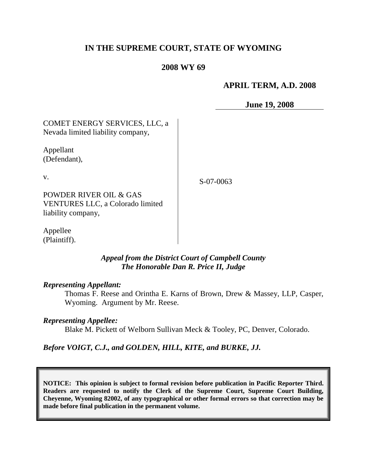# **IN THE SUPREME COURT, STATE OF WYOMING**

## **2008 WY 69**

## **APRIL TERM, A.D. 2008**

**June 19, 2008**

| COMET ENERGY SERVICES, LLC, a     |
|-----------------------------------|
| Nevada limited liability company, |
|                                   |

Appellant (Defendant),

v.

S-07-0063

POWDER RIVER OIL & GAS VENTURES LLC, a Colorado limited liability company,

Appellee (Plaintiff).

## *Appeal from the District Court of Campbell County The Honorable Dan R. Price II, Judge*

#### *Representing Appellant:*

Thomas F. Reese and Orintha E. Karns of Brown, Drew & Massey, LLP, Casper, Wyoming. Argument by Mr. Reese.

#### *Representing Appellee:*

Blake M. Pickett of Welborn Sullivan Meck & Tooley, PC, Denver, Colorado.

### *Before VOIGT, C.J., and GOLDEN, HILL, KITE, and BURKE, JJ.*

**NOTICE: This opinion is subject to formal revision before publication in Pacific Reporter Third. Readers are requested to notify the Clerk of the Supreme Court, Supreme Court Building, Cheyenne, Wyoming 82002, of any typographical or other formal errors so that correction may be made before final publication in the permanent volume.**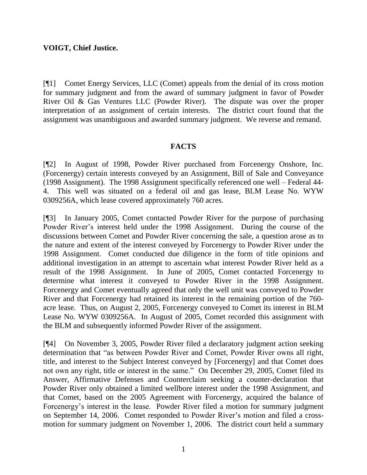## **VOIGT, Chief Justice.**

[¶1] Comet Energy Services, LLC (Comet) appeals from the denial of its cross motion for summary judgment and from the award of summary judgment in favor of Powder River Oil & Gas Ventures LLC (Powder River). The dispute was over the proper interpretation of an assignment of certain interests. The district court found that the assignment was unambiguous and awarded summary judgment. We reverse and remand.

### **FACTS**

[¶2] In August of 1998, Powder River purchased from Forcenergy Onshore, Inc. (Forcenergy) certain interests conveyed by an Assignment, Bill of Sale and Conveyance (1998 Assignment). The 1998 Assignment specifically referenced one well – Federal 44- 4. This well was situated on a federal oil and gas lease, BLM Lease No. WYW 0309256A, which lease covered approximately 760 acres.

[¶3] In January 2005, Comet contacted Powder River for the purpose of purchasing Powder River's interest held under the 1998 Assignment. During the course of the discussions between Comet and Powder River concerning the sale, a question arose as to the nature and extent of the interest conveyed by Forcenergy to Powder River under the 1998 Assignment. Comet conducted due diligence in the form of title opinions and additional investigation in an attempt to ascertain what interest Powder River held as a result of the 1998 Assignment. In June of 2005, Comet contacted Forcenergy to determine what interest it conveyed to Powder River in the 1998 Assignment. Forcenergy and Comet eventually agreed that only the well unit was conveyed to Powder River and that Forcenergy had retained its interest in the remaining portion of the 760 acre lease. Thus, on August 2, 2005, Forcenergy conveyed to Comet its interest in BLM Lease No. WYW 0309256A. In August of 2005, Comet recorded this assignment with the BLM and subsequently informed Powder River of the assignment.

[¶4] On November 3, 2005, Powder River filed a declaratory judgment action seeking determination that "as between Powder River and Comet, Powder River owns all right, title, and interest to the Subject Interest conveyed by [Forcenergy] and that Comet does not own any right, title or interest in the same." On December 29, 2005, Comet filed its Answer, Affirmative Defenses and Counterclaim seeking a counter-declaration that Powder River only obtained a limited wellbore interest under the 1998 Assignment, and that Comet, based on the 2005 Agreement with Forcenergy, acquired the balance of Forcenergy's interest in the lease. Powder River filed a motion for summary judgment on September 14, 2006. Comet responded to Powder River"s motion and filed a crossmotion for summary judgment on November 1, 2006. The district court held a summary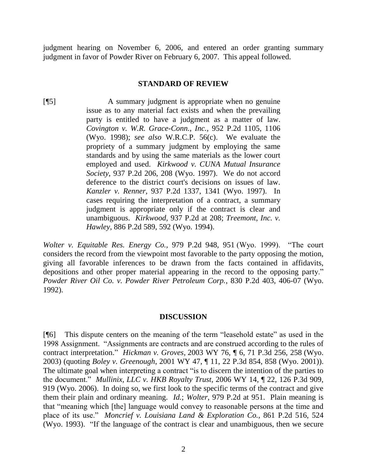judgment hearing on November 6, 2006, and entered an order granting summary judgment in favor of Powder River on February 6, 2007. This appeal followed.

#### **STANDARD OF REVIEW**

[¶5] A summary judgment is appropriate when no genuine issue as to any material fact exists and when the prevailing party is entitled to have a judgment as a matter of law. *Covington v. W.R. Grace-Conn., Inc.,* 952 P.2d 1105, 1106 (Wyo. 1998); *see also* W.R.C.P. 56(c). We evaluate the propriety of a summary judgment by employing the same standards and by using the same materials as the lower court employed and used. *Kirkwood v. CUNA Mutual Insurance Society,* 937 P.2d 206, 208 (Wyo. 1997). We do not accord deference to the district court's decisions on issues of law. *Kanzler v. Renner,* 937 P.2d 1337, 1341 (Wyo. 1997). In cases requiring the interpretation of a contract, a summary judgment is appropriate only if the contract is clear and unambiguous. *Kirkwood,* 937 P.2d at 208; *Treemont, Inc. v. Hawley,* 886 P.2d 589, 592 (Wyo. 1994).

*Wolter v. Equitable Res. Energy Co.,* 979 P.2d 948, 951 (Wyo. 1999). "The court considers the record from the viewpoint most favorable to the party opposing the motion, giving all favorable inferences to be drawn from the facts contained in affidavits, depositions and other proper material appearing in the record to the opposing party." *Powder River Oil Co. v. Powder River Petroleum Corp.*, 830 P.2d 403, 406-07 (Wyo. 1992).

### **DISCUSSION**

[¶6] This dispute centers on the meaning of the term "leasehold estate" as used in the 1998 Assignment. "Assignments are contracts and are construed according to the rules of contract interpretation." *Hickman v. Groves*, 2003 WY 76, ¶ 6, 71 P.3d 256, 258 (Wyo. 2003) (quoting *Boley v. Greenough*, 2001 WY 47, ¶ 11, 22 P.3d 854, 858 (Wyo. 2001)). The ultimate goal when interpreting a contract "is to discern the intention of the parties to the document." *Mullinix, LLC v. HKB Royalty Trust*, 2006 WY 14, ¶ 22, 126 P.3d 909, 919 (Wyo. 2006). In doing so, we first look to the specific terms of the contract and give them their plain and ordinary meaning. *Id.*; *Wolter*, 979 P.2d at 951. Plain meaning is that "meaning which [the] language would convey to reasonable persons at the time and place of its use." *Moncrief v. Louisiana Land & Exploration Co.*, 861 P.2d 516, 524 (Wyo. 1993). "If the language of the contract is clear and unambiguous, then we secure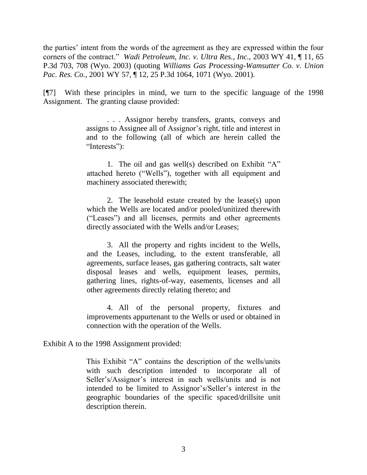the parties' intent from the words of the agreement as they are expressed within the four corners of the contract." *Wadi Petroleum, Inc. v. Ultra Res., Inc.*, 2003 WY 41, ¶ 11, 65 P.3d 703, 708 (Wyo. 2003) (quoting *Williams Gas Processing-Wamsutter Co. v. Union Pac. Res. Co.*, 2001 WY 57, ¶ 12, 25 P.3d 1064, 1071 (Wyo. 2001).

[¶7] With these principles in mind, we turn to the specific language of the 1998 Assignment. The granting clause provided:

> . . . Assignor hereby transfers, grants, conveys and assigns to Assignee all of Assignor"s right, title and interest in and to the following (all of which are herein called the "Interests":

> 1. The oil and gas well(s) described on Exhibit "A" attached hereto ("Wells"), together with all equipment and machinery associated therewith;

> 2. The leasehold estate created by the lease(s) upon which the Wells are located and/or pooled/unitized therewith ("Leases") and all licenses, permits and other agreements directly associated with the Wells and/or Leases;

> 3. All the property and rights incident to the Wells, and the Leases, including, to the extent transferable, all agreements, surface leases, gas gathering contracts, salt water disposal leases and wells, equipment leases, permits, gathering lines, rights-of-way, easements, licenses and all other agreements directly relating thereto; and

> 4. All of the personal property, fixtures and improvements appurtenant to the Wells or used or obtained in connection with the operation of the Wells.

Exhibit A to the 1998 Assignment provided:

This Exhibit "A" contains the description of the wells/units with such description intended to incorporate all of Seller's/Assignor's interest in such wells/units and is not intended to be limited to Assignor"s/Seller"s interest in the geographic boundaries of the specific spaced/drillsite unit description therein.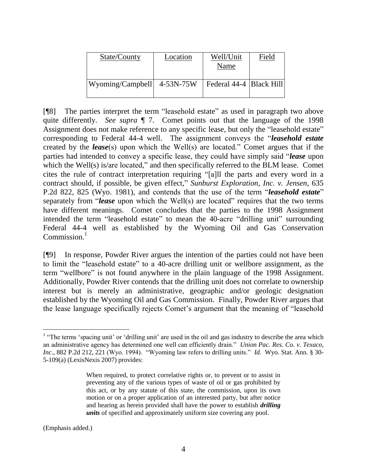| State/County               | Location | Well/Unit<br>Name         | Field |
|----------------------------|----------|---------------------------|-------|
| Wyoming/Campbell 4-53N-75W |          | Federal 44-4   Black Hill |       |

[¶8] The parties interpret the term "leasehold estate" as used in paragraph two above quite differently. *See supra* ¶ 7. Comet points out that the language of the 1998 Assignment does not make reference to any specific lease, but only the "leasehold estate" corresponding to Federal 44-4 well. The assignment conveys the "*leasehold estate* created by the *lease*(s) upon which the Well(s) are located." Comet argues that if the parties had intended to convey a specific lease, they could have simply said "*lease* upon which the Well(s) is/are located," and then specifically referred to the BLM lease. Comet cites the rule of contract interpretation requiring "[a]ll the parts and every word in a contract should, if possible, be given effect," *Sunburst Exploration, Inc. v. Jensen*, 635 P.2d 822, 825 (Wyo. 1981), and contends that the use of the term "*leasehold estate*" separately from "*lease* upon which the Well(s) are located" requires that the two terms have different meanings. Comet concludes that the parties to the 1998 Assignment intended the term "leasehold estate" to mean the 40-acre "drilling unit" surrounding Federal 44-4 well as established by the Wyoming Oil and Gas Conservation Commission.<sup>1</sup>

[¶9] In response, Powder River argues the intention of the parties could not have been to limit the "leasehold estate" to a 40-acre drilling unit or wellbore assignment, as the term "wellbore" is not found anywhere in the plain language of the 1998 Assignment. Additionally, Powder River contends that the drilling unit does not correlate to ownership interest but is merely an administrative, geographic and/or geologic designation established by the Wyoming Oil and Gas Commission. Finally, Powder River argues that the lease language specifically rejects Comet's argument that the meaning of "leasehold"

(Emphasis added.)

 $\overline{a}$ 

<sup>&</sup>lt;sup>1</sup> "The terms 'spacing unit' or 'drilling unit' are used in the oil and gas industry to describe the area which an administrative agency has determined one well can efficiently drain." *Union Pac. Res. Co. v. Texaco, Inc*., 882 P.2d 212, 221 (Wyo. 1994). "Wyoming law refers to drilling units." *Id.* Wyo. Stat. Ann. § 30- 5-109(a) (LexisNexis 2007) provides:

When required, to protect correlative rights or, to prevent or to assist in preventing any of the various types of waste of oil or gas prohibited by this act, or by any statute of this state, the commission, upon its own motion or on a proper application of an interested party, but after notice and hearing as herein provided shall have the power to establish *drilling units* of specified and approximately uniform size covering any pool.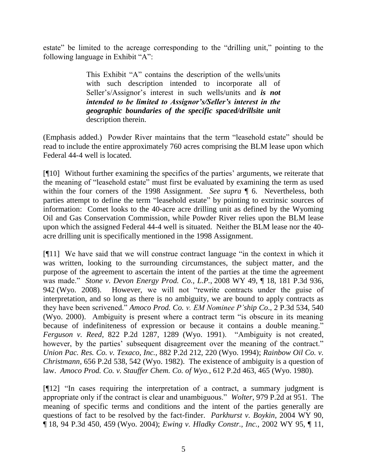estate" be limited to the acreage corresponding to the "drilling unit," pointing to the following language in Exhibit "A":

> This Exhibit "A" contains the description of the wells/units with such description intended to incorporate all of Seller's/Assignor's interest in such wells/units and *is not intended to be limited to Assignor's/Seller's interest in the geographic boundaries of the specific spaced/drillsite unit* description therein.

(Emphasis added.) Powder River maintains that the term "leasehold estate" should be read to include the entire approximately 760 acres comprising the BLM lease upon which Federal 44-4 well is located.

[¶10] Without further examining the specifics of the parties" arguments, we reiterate that the meaning of "leasehold estate" must first be evaluated by examining the term as used within the four corners of the 1998 Assignment. *See supra* ¶ 6. Nevertheless, both parties attempt to define the term "leasehold estate" by pointing to extrinsic sources of information: Comet looks to the 40-acre acre drilling unit as defined by the Wyoming Oil and Gas Conservation Commission, while Powder River relies upon the BLM lease upon which the assigned Federal 44-4 well is situated. Neither the BLM lease nor the 40 acre drilling unit is specifically mentioned in the 1998 Assignment.

[¶11] We have said that we will construe contract language "in the context in which it was written, looking to the surrounding circumstances, the subject matter, and the purpose of the agreement to ascertain the intent of the parties at the time the agreement was made." *Stone v. Devon Energy Prod. Co., L.P.*, 2008 WY 49, ¶ 18, 181 P.3d 936, 942 (Wyo. 2008). However, we will not "rewrite contracts under the guise of interpretation, and so long as there is no ambiguity, we are bound to apply contracts as they have been scrivened." *Amoco Prod. Co. v. EM Nominee P'ship Co*., 2 P.3d 534, 540 (Wyo. 2000). Ambiguity is present where a contract term "is obscure in its meaning because of indefiniteness of expression or because it contains a double meaning." *Ferguson v. Reed*, 822 P.2d 1287, 1289 (Wyo. 1991). "Ambiguity is not created, however, by the parties' subsequent disagreement over the meaning of the contract." *Union Pac. Res. Co. v. Texaco, Inc.*, 882 P.2d 212, 220 (Wyo. 1994); *Rainbow Oil Co. v. Christmann,* 656 P.2d 538, 542 (Wyo. 1982). The existence of ambiguity is a question of law. *Amoco Prod. Co. v. Stauffer Chem. Co. of Wyo.*, 612 P.2d 463, 465 (Wyo. 1980).

[¶12] "In cases requiring the interpretation of a contract, a summary judgment is appropriate only if the contract is clear and unambiguous." *Wolter*, 979 P.2d at 951. The meaning of specific terms and conditions and the intent of the parties generally are questions of fact to be resolved by the fact-finder. *Parkhurst v. Boykin*, 2004 WY 90, ¶ 18, 94 P.3d 450, 459 (Wyo. 2004); *Ewing v. Hladky Constr., Inc.,* 2002 WY 95, ¶ 11,